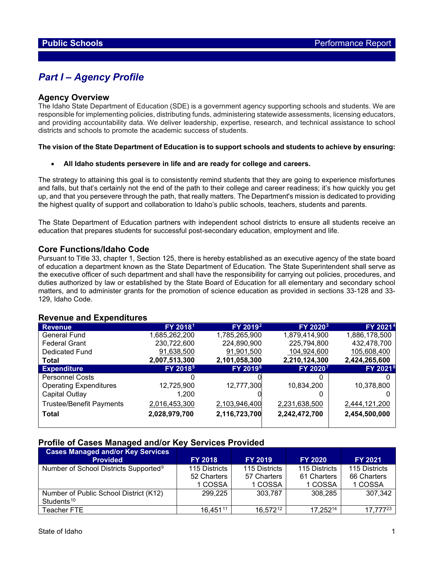# *Part I – Agency Profile*

## **Agency Overview**

The Idaho State Department of Education (SDE) is a government agency supporting schools and students. We are responsible for implementing policies, distributing funds, administering statewide assessments, licensing educators, and providing accountability data. We deliver leadership, expertise, research, and technical assistance to school districts and schools to promote the academic success of students.

### **The vision of the State Department of Education is to support schools and students to achieve by ensuring:**

• **All Idaho students persevere in life and are ready for college and careers.** 

The strategy to attaining this goal is to consistently remind students that they are going to experience misfortunes and falls, but that's certainly not the end of the path to their college and career readiness; it's how quickly you get up, and that you persevere through the path, that really matters. The Department's mission is dedicated to providing the highest quality of support and collaboration to Idaho's public schools, teachers, students and parents.

The State Department of Education partners with independent school districts to ensure all students receive an education that prepares students for successful post-secondary education, employment and life.

# **Core Functions/Idaho Code**

Pursuant to Title 33, chapter 1, Section 125, there is hereby established as an executive agency of the state board of education a department known as the State Department of Education. The State Superintendent shall serve as the executive officer of such department and shall have the responsibility for carrying out policies, procedures, and duties authorized by law or established by the State Board of Education for all elementary and secondary school matters, and to administer grants for the promotion of science education as provided in sections 33-128 and 33- 129, Idaho Code.

## **Revenue and Expenditures**

| <b>Revenue</b>                  | FY 2018 <sup>1</sup> | FY 2019 <sup>2</sup> | FY 2020 <sup>3</sup> | FY 2021 <sup>4</sup> |
|---------------------------------|----------------------|----------------------|----------------------|----------------------|
| General Fund                    | 1,685,262,200        | 1,785,265,900        | 1,879,414,900        | 1,886,178,500        |
| <b>Federal Grant</b>            | 230,722,600          | 224,890,900          | 225,794,800          | 432,478,700          |
| Dedicated Fund                  | 91,638,500           | 91,901,500           | 104,924,600          | 105,608,400          |
| Total                           | 2,007,513,300        | 2,101,058,300        | 2,210,124,300        | 2,424,265,600        |
| <b>Expenditure</b>              | FY 2018 <sup>5</sup> | FY 2019 <sup>6</sup> | FY 20207             | FY 2021 <sup>8</sup> |
| <b>Personnel Costs</b>          |                      |                      |                      |                      |
| <b>Operating Expenditures</b>   | 12,725,900           | 12,777,300           | 10,834,200           | 10,378,800           |
| Capital Outlay                  | 1,200                |                      |                      |                      |
| <b>Trustee/Benefit Payments</b> | 2,016,453,300        | 2,103,946,400        | 2,231,638,500        | 2,444,121,200        |
| <b>Total</b>                    | 2,028,979,700        | 2,116,723,700        | 2,242,472,700        | 2,454,500,000        |

## **Profile of Cases Managed and/or Key Services Provided**

| <b>Cases Managed and/or Key Services</b>          |                |                |                |                |
|---------------------------------------------------|----------------|----------------|----------------|----------------|
| <b>Provided</b>                                   | <b>FY 2018</b> | <b>FY 2019</b> | <b>FY 2020</b> | <b>FY 2021</b> |
| Number of School Districts Supported <sup>9</sup> | 115 Districts  | 115 Districts  | 115 Districts  | 115 Districts  |
|                                                   | 52 Charters    | 57 Charters    | 61 Charters    | 66 Charters    |
|                                                   | 1 COSSA        | 1 COSSA        | 1 COSSA        | 1 COSSA        |
| Number of Public School District (K12)            | 299,225        | 303,787        | 308,285        | 307,342        |
| Students <sup>10</sup>                            |                |                |                |                |
| Teacher FTE                                       | 16.45111       | 16,57212       | 17,25214       | 17.77723       |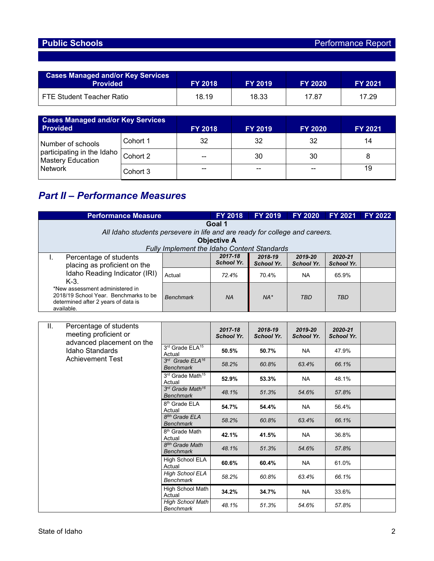| <b>Cases Managed and/or Key Services</b><br><b>Provided</b> | <b>FY 2018</b> | <b>FY 2019</b> | <b>FY 2020</b> | <b>FY 2021</b> |
|-------------------------------------------------------------|----------------|----------------|----------------|----------------|
| FTE Student Teacher Ratio                                   | 18.19          | 18.33          | 17.87          | 17.29          |

| <b>Cases Managed and/or Key Services</b><br><b>Provided</b> |          | <b>FY 2018</b> | <b>FY 2019</b> | <b>FY 2020</b> | <b>FY 2021</b> |
|-------------------------------------------------------------|----------|----------------|----------------|----------------|----------------|
| Number of schools                                           | Cohort 1 | 32             | 32             | 32             | 14             |
| participating in the Idaho<br><b>Mastery Education</b>      | Cohort 2 | $- -$          | 30             | 30             |                |
| <b>Network</b>                                              | Cohort 3 | --             | $- -$          | $- -$          | 19             |

# *Part II – Performance Measures*

| <b>Performance Measure</b>                        |                                                                             | <b>FY 2018</b>    | <b>FY 2019</b>    | <b>FY 2020</b>    | <b>FY 2021</b>    | <b>FY 2022</b> |  |  |
|---------------------------------------------------|-----------------------------------------------------------------------------|-------------------|-------------------|-------------------|-------------------|----------------|--|--|
| Goal 1                                            |                                                                             |                   |                   |                   |                   |                |  |  |
|                                                   | All Idaho students persevere in life and are ready for college and careers. |                   |                   |                   |                   |                |  |  |
|                                                   | <b>Objective A</b>                                                          |                   |                   |                   |                   |                |  |  |
|                                                   | Fully Implement the Idaho Content Standards                                 |                   |                   |                   |                   |                |  |  |
| Percentage of students                            |                                                                             | 2017-18           | 2018-19           | 2019-20           | 2020-21           |                |  |  |
| placing as proficient on the                      |                                                                             | <b>School Yr.</b> | <b>School Yr.</b> | <b>School Yr.</b> | <b>School Yr.</b> |                |  |  |
| Idaho Reading Indicator (IRI)                     | Actual                                                                      | 72.4%             | 70.4%             | <b>NA</b>         | 65.9%             |                |  |  |
| $K-3$ .                                           |                                                                             |                   |                   |                   |                   |                |  |  |
| *New assessment administered in                   |                                                                             |                   |                   |                   |                   |                |  |  |
| 2018/19 School Year. Benchmarks to be             | <b>Benchmark</b>                                                            | <b>NA</b>         | $NA*$             | <b>TBD</b>        | <b>TBD</b>        |                |  |  |
| determined after 2 years of data is<br>available. |                                                                             |                   |                   |                   |                   |                |  |  |

| Ш.                      | Percentage of students<br>meeting proficient or<br>advanced placement on the |                                                  | 2017-18<br><b>School Yr.</b> | 2018-19<br><b>School Yr.</b> | 2019-20<br><b>School Yr.</b> | 2020-21<br><b>School Yr.</b> |  |
|-------------------------|------------------------------------------------------------------------------|--------------------------------------------------|------------------------------|------------------------------|------------------------------|------------------------------|--|
|                         | Idaho Standards                                                              | 3rd Grade ELA <sup>15</sup><br>Actual            | 50.5%                        | 50.7%                        | <b>NA</b>                    | 47.9%                        |  |
| <b>Achievement Test</b> | 3rd Grade ELA <sup>16</sup><br><b>Benchmark</b>                              | 58.2%                                            | 60.8%                        | 63.4%                        | 66.1%                        |                              |  |
|                         |                                                                              | 3rd Grade Math <sup>15</sup><br>Actual           | 52.9%                        | 53.3%                        | <b>NA</b>                    | 48.1%                        |  |
|                         |                                                                              | 3rd Grade Math <sup>16</sup><br><b>Benchmark</b> | 48.1%                        | 51.3%                        | 54.6%                        | 57.8%                        |  |
|                         | 8 <sup>th</sup> Grade ELA<br>Actual                                          | 54.7%                                            | 54.4%                        | <b>NA</b>                    | 56.4%                        |                              |  |
|                         |                                                                              | 8 <sup>8th</sup> Grade ELA<br><b>Benchmark</b>   | 58.2%                        | 60.8%                        | 63.4%                        | 66.1%                        |  |
|                         |                                                                              | 8 <sup>th</sup> Grade Math<br>Actual             | 42.1%                        | 41.5%                        | <b>NA</b>                    | 36.8%                        |  |
|                         |                                                                              | 8 <sup>8th</sup> Grade Math<br><b>Benchmark</b>  | 48.1%                        | 51.3%                        | 54.6%                        | 57.8%                        |  |
|                         | High School ELA<br>Actual                                                    | 60.6%                                            | 60.4%                        | <b>NA</b>                    | 61.0%                        |                              |  |
|                         | <b>High School ELA</b><br>Benchmark                                          | 58.2%                                            | 60.8%                        | 63.4%                        | 66.1%                        |                              |  |
|                         |                                                                              | High School Math<br>Actual                       | 34.2%                        | 34.7%                        | <b>NA</b>                    | 33.6%                        |  |
|                         |                                                                              | <b>High School Math</b><br><b>Benchmark</b>      | 48.1%                        | 51.3%                        | 54.6%                        | 57.8%                        |  |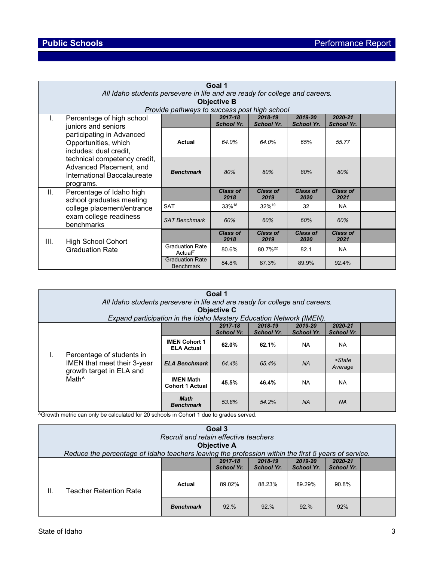|                                                                                                                                                                                    | Goal 1                                                                      |                                                |                              |                              |                              |                              |  |  |
|------------------------------------------------------------------------------------------------------------------------------------------------------------------------------------|-----------------------------------------------------------------------------|------------------------------------------------|------------------------------|------------------------------|------------------------------|------------------------------|--|--|
|                                                                                                                                                                                    | All Idaho students persevere in life and are ready for college and careers. |                                                |                              |                              |                              |                              |  |  |
|                                                                                                                                                                                    | <b>Objective B</b><br>Provide pathways to success post high school          |                                                |                              |                              |                              |                              |  |  |
|                                                                                                                                                                                    |                                                                             |                                                |                              |                              |                              |                              |  |  |
| Τ.                                                                                                                                                                                 | Percentage of high school<br>juniors and seniors                            |                                                | 2017-18<br><b>School Yr.</b> | 2018-19<br><b>School Yr.</b> | 2019-20<br><b>School Yr.</b> | 2020-21<br><b>School Yr.</b> |  |  |
| participating in Advanced<br>Opportunities, which<br>includes: dual credit,<br>technical competency credit,<br>Advanced Placement, and<br>International Baccalaureate<br>programs. | Actual                                                                      | 64.0%                                          | 64.0%                        | 65%                          | 55.77                        |                              |  |  |
|                                                                                                                                                                                    | <b>Benchmark</b>                                                            | 80%                                            | 80%                          | 80%                          | 80%                          |                              |  |  |
| Ш.                                                                                                                                                                                 | Percentage of Idaho high<br>school graduates meeting                        |                                                | <b>Class of</b><br>2018      | <b>Class of</b><br>2019      | <b>Class of</b><br>2020      | <b>Class of</b><br>2021      |  |  |
|                                                                                                                                                                                    | college placement/entrance                                                  | <b>SAT</b>                                     | 33% <sup>18</sup>            | 32% <sup>19</sup>            | 32                           | <b>NA</b>                    |  |  |
|                                                                                                                                                                                    | exam college readiness<br>benchmarks                                        | <b>SAT Benchmark</b>                           | 60%                          | 60%                          | 60%                          | 60%                          |  |  |
| III.                                                                                                                                                                               | <b>High School Cohort</b>                                                   |                                                | <b>Class of</b><br>2018      | <b>Class of</b><br>2019      | <b>Class of</b><br>2020      | <b>Class of</b><br>2021      |  |  |
|                                                                                                                                                                                    | <b>Graduation Rate</b>                                                      | <b>Graduation Rate</b><br>Actual <sup>21</sup> | 80.6%                        | 80.7% <sup>22</sup>          | 82.1                         | <b>NA</b>                    |  |  |
|                                                                                                                                                                                    |                                                                             | <b>Graduation Rate</b><br><b>Benchmark</b>     | 84.8%                        | 87.3%                        | 89.9%                        | 92.4%                        |  |  |

| Goal 1<br>All Idaho students persevere in life and are ready for college and careers.<br><b>Objective C</b><br>Expand participation in the Idaho Mastery Education Network (IMEN). |                                            |                                 |                              |                              |                              |                              |  |  |
|------------------------------------------------------------------------------------------------------------------------------------------------------------------------------------|--------------------------------------------|---------------------------------|------------------------------|------------------------------|------------------------------|------------------------------|--|--|
|                                                                                                                                                                                    |                                            |                                 | 2017-18<br><b>School Yr.</b> | 2018-19<br><b>School Yr.</b> | 2019-20<br><b>School Yr.</b> | 2020-21<br><b>School Yr.</b> |  |  |
| Percentage of students in<br>ı.<br>IMEN that meet their 3-year<br>growth target in ELA and<br>Math <sup>^</sup>                                                                    | <b>IMEN Cohort 1</b><br><b>ELA Actual</b>  | 62.0%                           | 62.1%                        | <b>NA</b>                    | <b>NA</b>                    |                              |  |  |
|                                                                                                                                                                                    | <b>ELA Benchmark</b>                       | 64.4%                           | 65.4%                        | <b>NA</b>                    | >State<br>Average            |                              |  |  |
|                                                                                                                                                                                    | <b>IMEN Math</b><br><b>Cohort 1 Actual</b> | 45.5%                           | 46.4%                        | <b>NA</b>                    | <b>NA</b>                    |                              |  |  |
|                                                                                                                                                                                    |                                            | <b>Math</b><br><b>Benchmark</b> | 53.8%                        | 54.2%                        | <b>NA</b>                    | <b>NA</b>                    |  |  |

^Growth metric can only be calculated for 20 schools in Cohort 1 due to grades served.

| Goal 3<br>Recruit and retain effective teachers<br><b>Objective A</b><br>Reduce the percentage of Idaho teachers leaving the profession within the first 5 years of service. |                        |                  |                              |                              |                              |                              |  |
|------------------------------------------------------------------------------------------------------------------------------------------------------------------------------|------------------------|------------------|------------------------------|------------------------------|------------------------------|------------------------------|--|
|                                                                                                                                                                              |                        |                  | 2017-18<br><b>School Yr.</b> | 2018-19<br><b>School Yr.</b> | 2019-20<br><b>School Yr.</b> | 2020-21<br><b>School Yr.</b> |  |
| ΙΙ.                                                                                                                                                                          | Teacher Retention Rate | Actual           | 89.02%                       | 88.23%                       | 89.29%                       | 90.8%                        |  |
|                                                                                                                                                                              |                        | <b>Benchmark</b> | 92.%                         | 92.%                         | 92.%                         | 92%                          |  |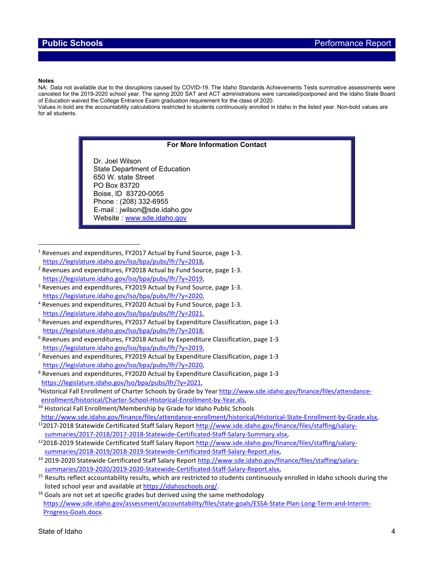### **Notes**

NA: Data not available due to the disruptions caused by COVID-19. The Idaho Standards Achievements Tests summative assessments were canceled for the 2019-2020 school year. The spring 2020 SAT and ACT administrations were canceled/postponed and the Idaho State Board of Education waived the College Entrance Exam graduation requirement for the class of 2020.

Values in bold are the accountability calculations restricted to students continuously enrolled in Idaho in the listed year. Non-bold values are for all students.

### **For More Information Contact**

Dr. Joel Wilson State Department of Education 650 W. state Street PO Box 83720 Boise, ID 83720-0055 Phone : (208) 332-6955 E-mail : jwilson@sde.idaho.gov Website : [www.sde.idaho.gov](http://www.sde.idaho.gov/)

<sup>1</sup> Revenues and expenditures, FY2017 Actual by Fund Source, page 1-3.<br>https://legislature.idaho.gov/lso/bpa/pubs/lfr/?y=2018,

- $h^2$  Revenues and expenditures, FY2018 Actual by Fund Source, page 1-3. [https://legislature.idaho.gov/lso/bpa/pubs/lfr/?y=2019](https://legislature.idaho.gov/lso/bpa/pubs/lfr/?y=2018),<br><sup>3</sup> Revenues and expenditures, FY2019 Actual by Fund Source, page 1-3.
- [https://legislature.idaho.gov/lso/bpa/pubs/lfr/?y=2020,](https://legislature.idaho.gov/lso/bpa/pubs/lfr/?y=2020) 4 Revenues and expenditures, FY2020 Actual by Fund Source, page 1-3.
- 
- [https://legislature.idaho.gov/lso/bpa/pubs/lfr/?y=2021,](https://legislature.idaho.gov/lso/bpa/pubs/lfr/?y=2021)<br><sup>5</sup> Revenues and expenditures, FY2017 Actual by Expenditure Classification, page 1-3 [https://legislature.idaho.gov/lso/bpa/pubs/lfr/?y=2018,](https://legislature.idaho.gov/lso/bpa/pubs/lfr/?y=2018) 6 Revenues and expenditures, FY2018 Actual by Expenditure Classification, page 1-3
- [https://legislature.idaho.gov/lso/bpa/pubs/lfr/?y=2019,](https://legislature.idaho.gov/lso/bpa/pubs/lfr/?y=2019) 7 Revenues and expenditures, FY2019 Actual by Expenditure Classification, page 1-3
- [https://legislature.idaho.gov/lso/bpa/pubs/lfr/?y=2020,](https://legislature.idaho.gov/lso/bpa/pubs/lfr/?y=2020)
- <sup>8</sup> Revenues and expenditures, FY2020 Actual by Expenditure Classification, page 1-3  [https://legislature.idaho.gov/lso/bpa/pubs/lfr/?y=2021,](https://legislature.idaho.gov/lso/bpa/pubs/lfr/?y=2021) 9

<sup>9</sup>Historical Fall Enrollment of Charter Schools by Grade by Year [http://www.sde.idaho.gov/finance/files/attendance](http://www.sde.idaho.gov/finance/files/attendance-enrollment/historical/Charter-School-Historical-Enrollment-by-Year.xls)[enrollment/historical/Charter-School-Historical-Enrollment-by-Year.xls,](http://www.sde.idaho.gov/finance/files/attendance-enrollment/historical/Charter-School-Historical-Enrollment-by-Year.xls)

- <sup>10</sup> Historical Fall Enrollment/Membership by Grade for Idaho Public Schools
- [http://www.sde.idaho.gov/finance/files/attendance-enrollment/historical/Historical-State-Enrollment-by-Grade.xlsx,](http://www.sde.idaho.gov/finance/files/attendance-enrollment/historical/Historical-State-Enrollment-by-Grade.xlsx)<br><sup>11</sup>2017-2018 Statewide Certificated Staff Salary Report http://www.sde.idaho.gov/finance/files/staffing/sa

- [summaries/2017-2018/2017-2018-Statewide-Certificated-Staff-Salary-Summary.xlsx,](http://www.sde.idaho.gov/finance/files/staffing/salary-summaries/2017-2018/2017-2018-Statewide-Certificated-Staff-Salary-Summary.xlsx) 122018-2019 Statewide Certificated Staff Salary Report [http://www.sde.idaho.gov/finance/files/staffing/salary](http://www.sde.idaho.gov/finance/files/staffing/salary-summaries/2018-2019/2018-2019-Statewide-Certificated-Staff-Salary-Report.xlsx)[summaries/2018-2019/2018-2019-Statewide-Certificated-Staff-Salary-Report.xlsx,](http://www.sde.idaho.gov/finance/files/staffing/salary-summaries/2018-2019/2018-2019-Statewide-Certificated-Staff-Salary-Report.xlsx) 14 2019-2020 Statewide Certificated Staff Salary Report [http://www.sde.idaho.gov/finance/files/staffing/salary-](http://www.sde.idaho.gov/finance/files/staffing/salary-summaries/2019-2020/2019-2020-Statewide-Certificated-Staff-Salary-Report.xlsx)
- 
- summaries/2019-2020/2019-2020-Statewide-Certificated-Staff-Salary-Report.xlsx,<br>
<sup>15</sup> Results reflect accountability results, which are restricted to students continuously enrolled in Idaho schools during the<br>
listed school
- <sup>16</sup> Goals are not set at specific grades but derived using the same methodology [https://www.sde.idaho.gov/assessment/accountability/files/state-goals/ESSA-State-Plan-Long-Term-and-Interim-](https://www.sde.idaho.gov/assessment/accountability/files/state-goals/ESSA-State-Plan-Long-Term-and-Interim-Progress-Goals.docx)[Progress-Goals.docx.](https://www.sde.idaho.gov/assessment/accountability/files/state-goals/ESSA-State-Plan-Long-Term-and-Interim-Progress-Goals.docx)